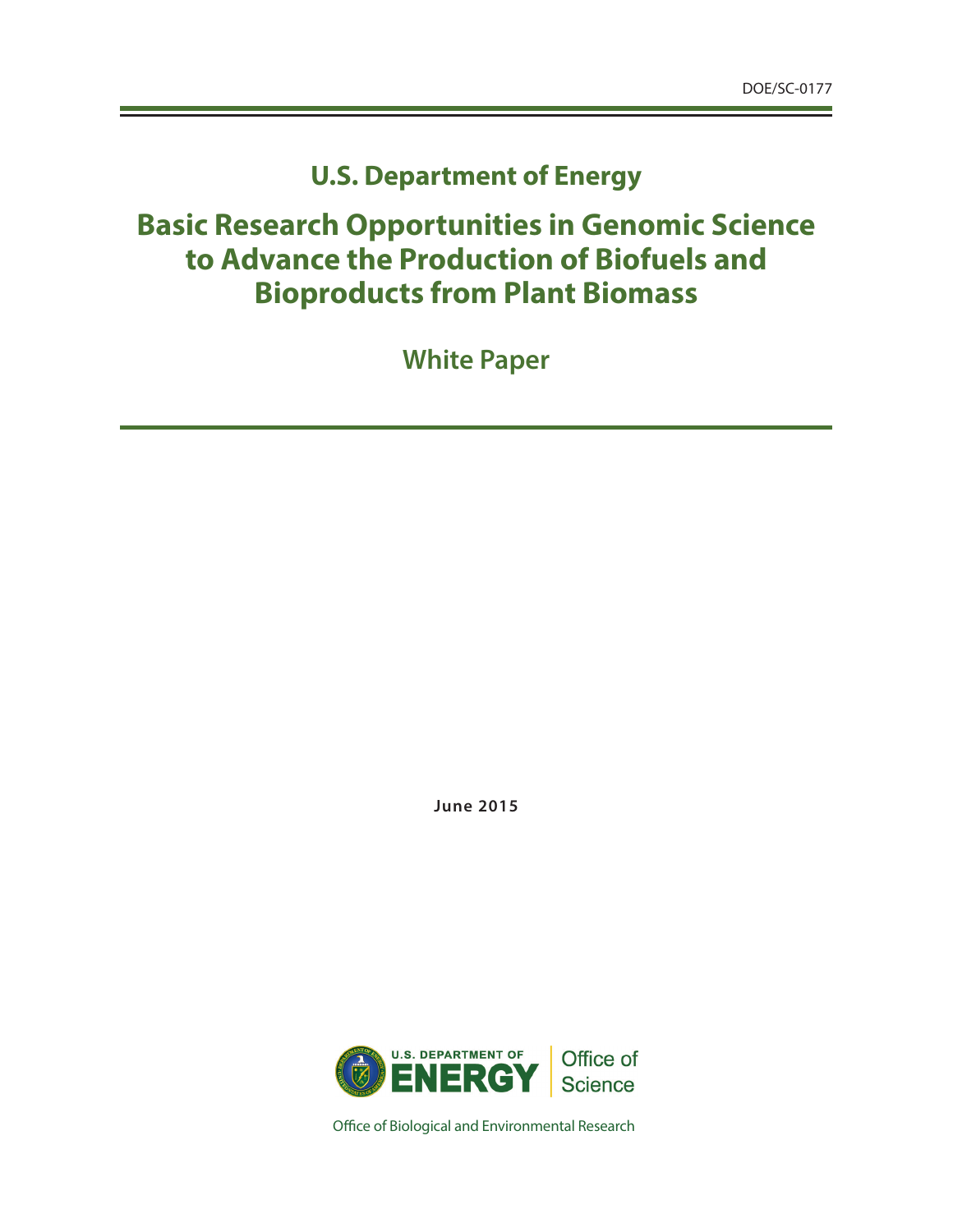## **U.S. Department of Energy**

# **Basic Research Opportunities in Genomic Science to Advance the Production of Biofuels and Bioproducts from Plant Biomass**

**White Paper**

**June 2015**



Office of Biological and Environmental Research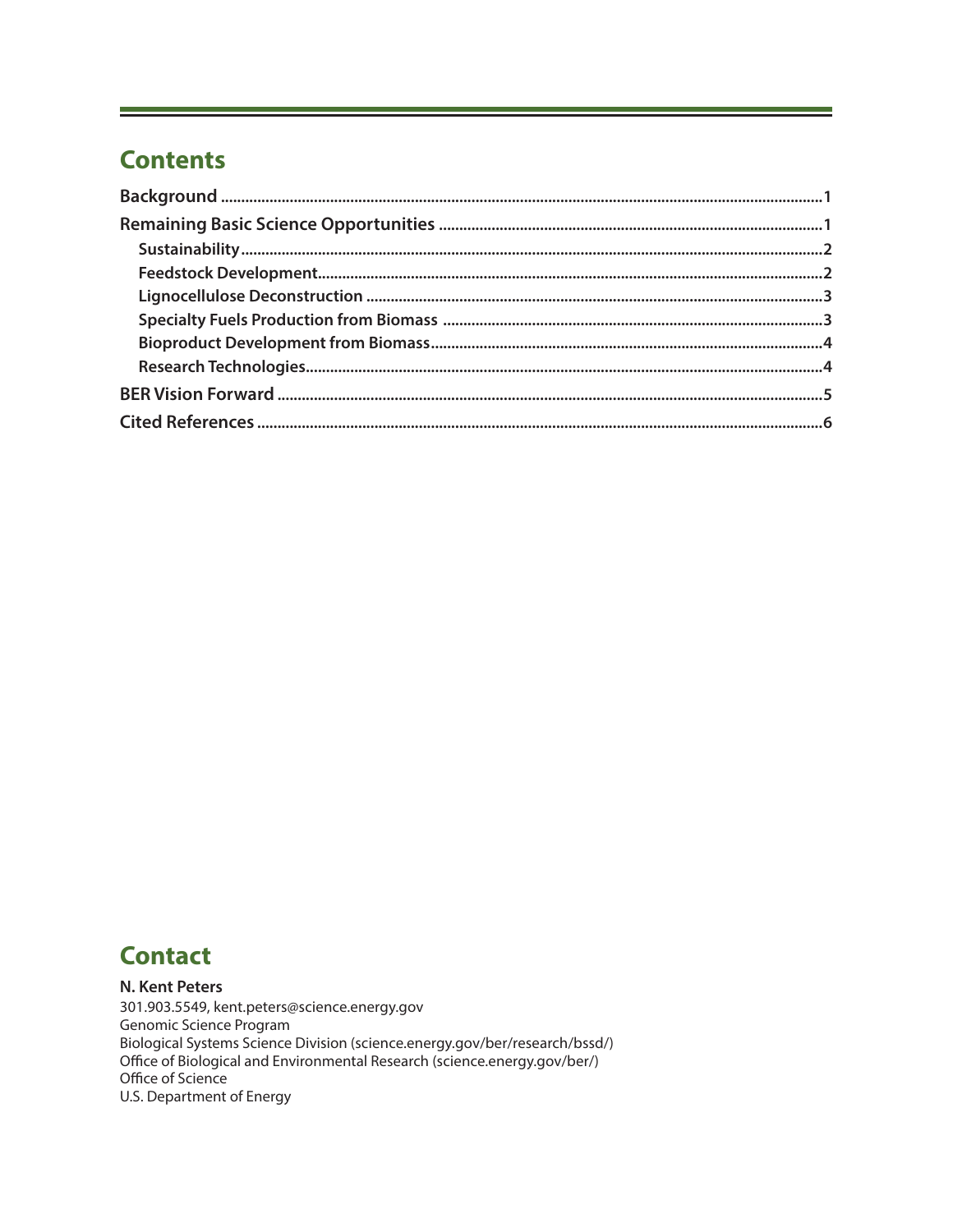## **Contents**

## **Contact**

#### N. Kent Peters

301.903.5549, kent.peters@science.energy.gov Genomic Science Program Biological Systems Science Division (science.energy.gov/ber/research/bssd/) Office of Biological and Environmental Research (science.energy.gov/ber/) Office of Science U.S. Department of Energy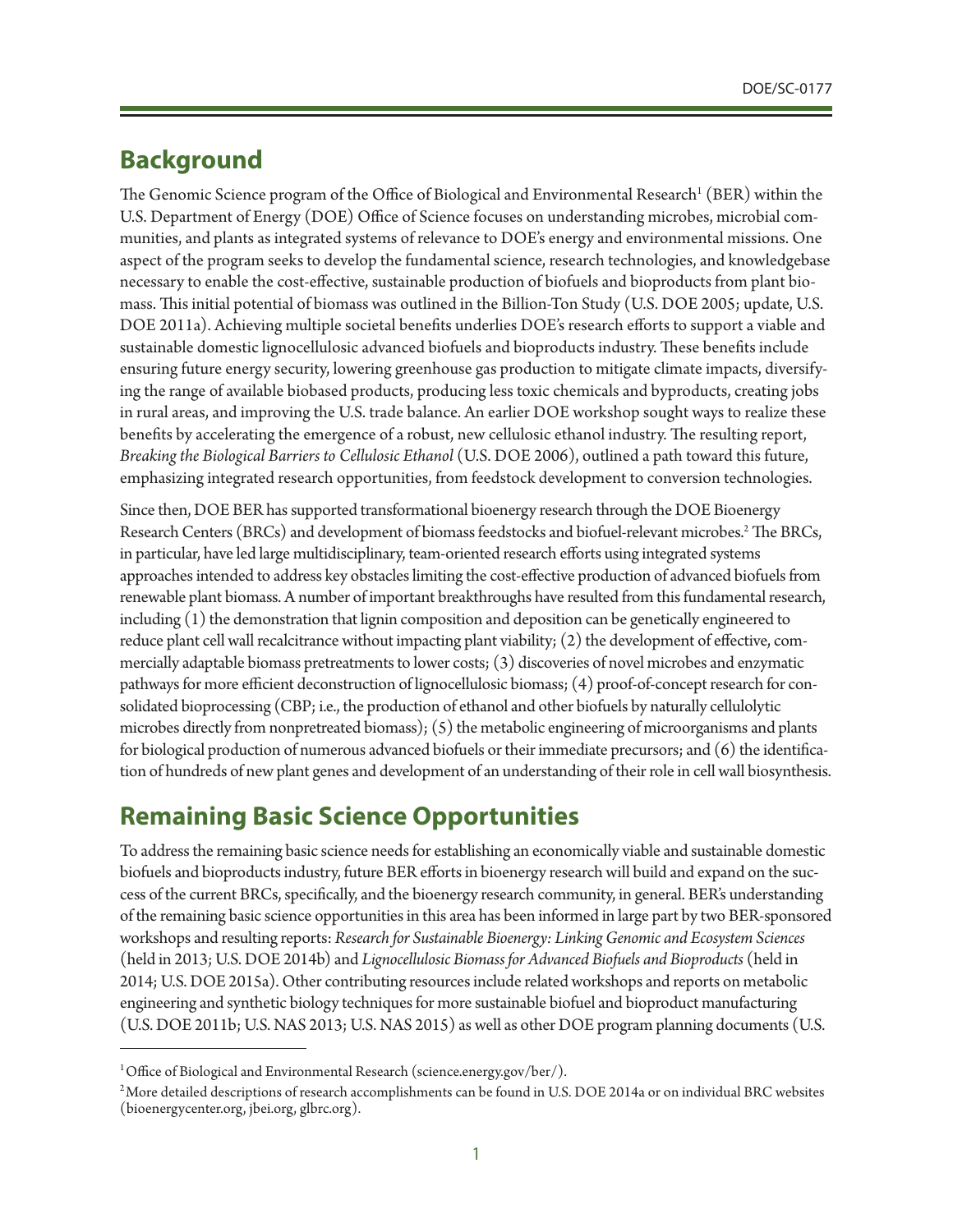### **Background**

The Genomic Science program of the Office of Biological and Environmental Research<sup>1</sup> (BER) within the U.S. Department of Energy (DOE) Office of Science focuses on understanding microbes, microbial communities, and plants as integrated systems of relevance to DOE's energy and environmental missions. One aspect of the program seeks to develop the fundamental science, research technologies, and knowledgebase necessary to enable the cost-effective, sustainable production of biofuels and bioproducts from plant biomass. This initial potential of biomass was outlined in the Billion-Ton Study (U.S. DOE 2005; update, U.S. DOE 2011a). Achieving multiple societal benefits underlies DOE's research efforts to support a viable and sustainable domestic lignocellulosic advanced biofuels and bioproducts industry. These benefits include ensuring future energy security, lowering greenhouse gas production to mitigate climate impacts, diversifying the range of available biobased products, producing less toxic chemicals and byproducts, creating jobs in rural areas, and improving the U.S. trade balance. An earlier DOE workshop sought ways to realize these benefits by accelerating the emergence of a robust, new cellulosic ethanol industry. The resulting report, *Breaking the Biological Barriers to Cellulosic Ethanol* (U.S. DOE 2006), outlined a path toward this future, emphasizing integrated research opportunities, from feedstock development to conversion technologies.

Since then, DOE BER has supported transformational bioenergy research through the DOE Bioenergy Research Centers (BRCs) and development of biomass feedstocks and biofuel-relevant microbes.<sup>2</sup> The BRCs, in particular, have led large multidisciplinary, team-oriented research efforts using integrated systems approaches intended to address key obstacles limiting the cost-effective production of advanced biofuels from renewable plant biomass. A number of important breakthroughs have resulted from this fundamental research, including (1) the demonstration that lignin composition and deposition can be genetically engineered to reduce plant cell wall recalcitrance without impacting plant viability; (2) the development of effective, commercially adaptable biomass pretreatments to lower costs; (3) discoveries of novel microbes and enzymatic pathways for more efficient deconstruction of lignocellulosic biomass; (4) proof-of-concept research for consolidated bioprocessing (CBP; i.e., the production of ethanol and other biofuels by naturally cellulolytic microbes directly from nonpretreated biomass); (5) the metabolic engineering of microorganisms and plants for biological production of numerous advanced biofuels or their immediate precursors; and (6) the identification of hundreds of new plant genes and development of an understanding of their role in cell wall biosynthesis.

## **Remaining Basic Science Opportunities**

To address the remaining basic science needs for establishing an economically viable and sustainable domestic biofuels and bioproducts industry, future BER efforts in bioenergy research will build and expand on the success of the current BRCs, specifically, and the bioenergy research community, in general. BER's understanding of the remaining basic science opportunities in this area has been informed in large part by two BER-sponsored workshops and resulting reports: *Research for Sustainable Bioenergy: Linking Genomic and Ecosystem Sciences* (held in 2013; U.S. DOE 2014b) and *Lignocellulosic Biomass for Advanced Biofuels and Bioproducts* (held in 2014; U.S. DOE 2015a). Other contributing resources include related workshops and reports on metabolic engineering and synthetic biology techniques for more sustainable biofuel and bioproduct manufacturing (U.S. DOE 2011b; U.S. NAS 2013; U.S. NAS 2015) as well as other DOE program planning documents (U.S.

<sup>&</sup>lt;sup>1</sup> Office of Biological and Environmental Research [\(science.energy.gov/ber/](http://science.energy.gov/ber/)).

 $^2$ More detailed descriptions of research accomplishments can be found in U.S. DOE 2014a or on individual BRC websites [\(bioenergycenter.org](http://www.bioenergycenter.org), [jbei.org,](http://www.jbei.org) [glbrc.org\)](http://www.glbrc.org).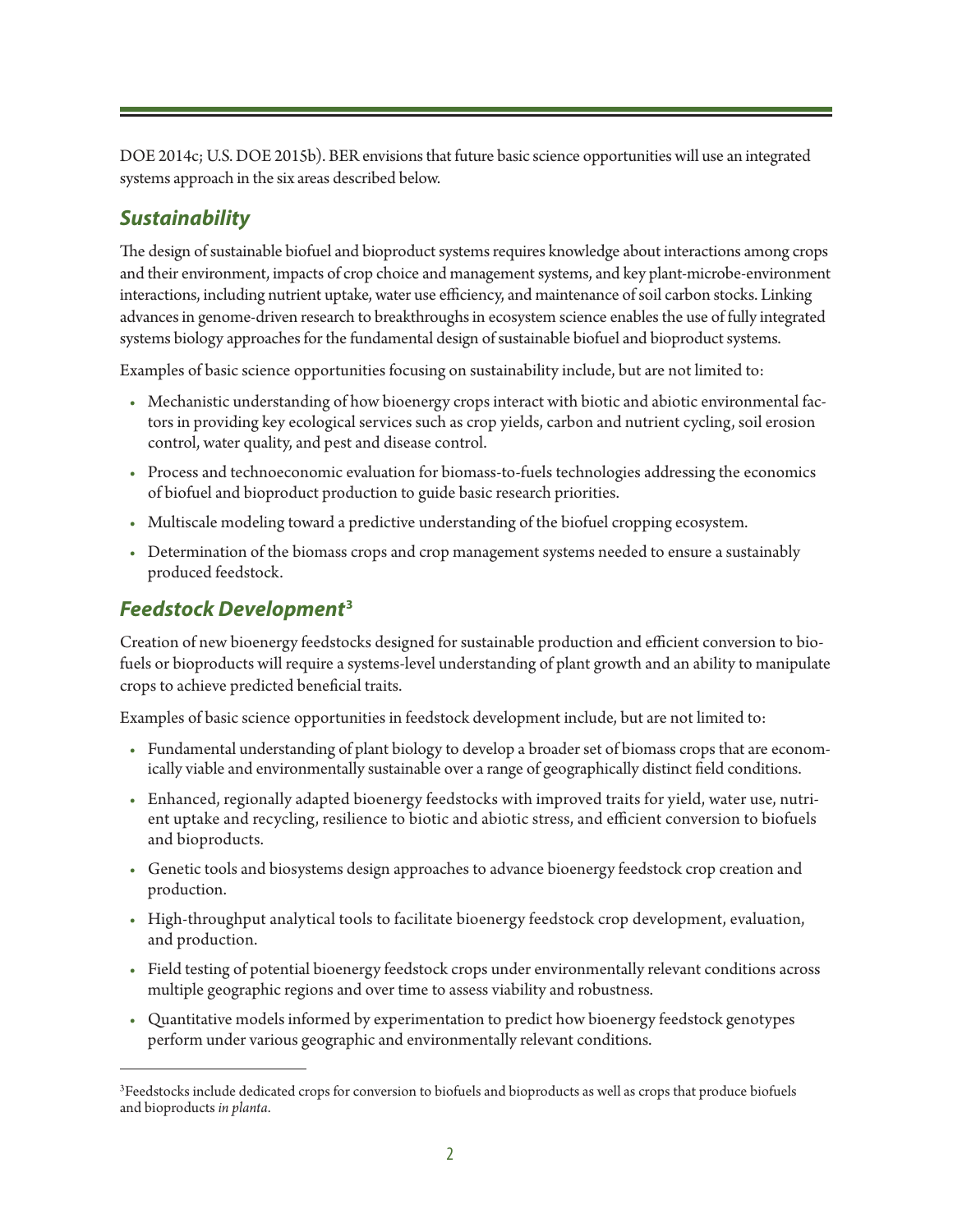DOE 2014c; U.S. DOE 2015b). BER envisions that future basic science opportunities will use an integrated systems approach in the six areas described below.

#### *Sustainability*

The design of sustainable biofuel and bioproduct systems requires knowledge about interactions among crops and their environment, impacts of crop choice and management systems, and key plant-microbe-environment interactions, including nutrient uptake, water use efficiency, and maintenance of soil carbon stocks. Linking advances in genome-driven research to breakthroughs in ecosystem science enables the use of fully integrated systems biology approaches for the fundamental design of sustainable biofuel and bioproduct systems.

Examples of basic science opportunities focusing on sustainability include, but are not limited to:

- Mechanistic understanding of how bioenergy crops interact with biotic and abiotic environmental factors in providing key ecological services such as crop yields, carbon and nutrient cycling, soil erosion control, water quality, and pest and disease control.
- Process and technoeconomic evaluation for biomass-to-fuels technologies addressing the economics of biofuel and bioproduct production to guide basic research priorities.
- Multiscale modeling toward a predictive understanding of the biofuel cropping ecosystem.
- Determination of the biomass crops and crop management systems needed to ensure a sustainably produced feedstock.

#### *Feedstock Development***<sup>3</sup>**

Creation of new bioenergy feedstocks designed for sustainable production and efficient conversion to biofuels or bioproducts will require a systems-level understanding of plant growth and an ability to manipulate crops to achieve predicted beneficial traits.

Examples of basic science opportunities in feedstock development include, but are not limited to:

- Fundamental understanding of plant biology to develop a broader set of biomass crops that are economically viable and environmentally sustainable over a range of geographically distinct field conditions.
- Enhanced, regionally adapted bioenergy feedstocks with improved traits for yield, water use, nutrient uptake and recycling, resilience to biotic and abiotic stress, and efficient conversion to biofuels and bioproducts.
- Genetic tools and biosystems design approaches to advance bioenergy feedstock crop creation and production.
- High-throughput analytical tools to facilitate bioenergy feedstock crop development, evaluation, and production.
- Field testing of potential bioenergy feedstock crops under environmentally relevant conditions across multiple geographic regions and over time to assess viability and robustness.
- Quantitative models informed by experimentation to predict how bioenergy feedstock genotypes perform under various geographic and environmentally relevant conditions.

 ${}^{3}$ Feedstocks include dedicated crops for conversion to biofuels and bioproducts as well as crops that produce biofuels and bioproducts *in planta*.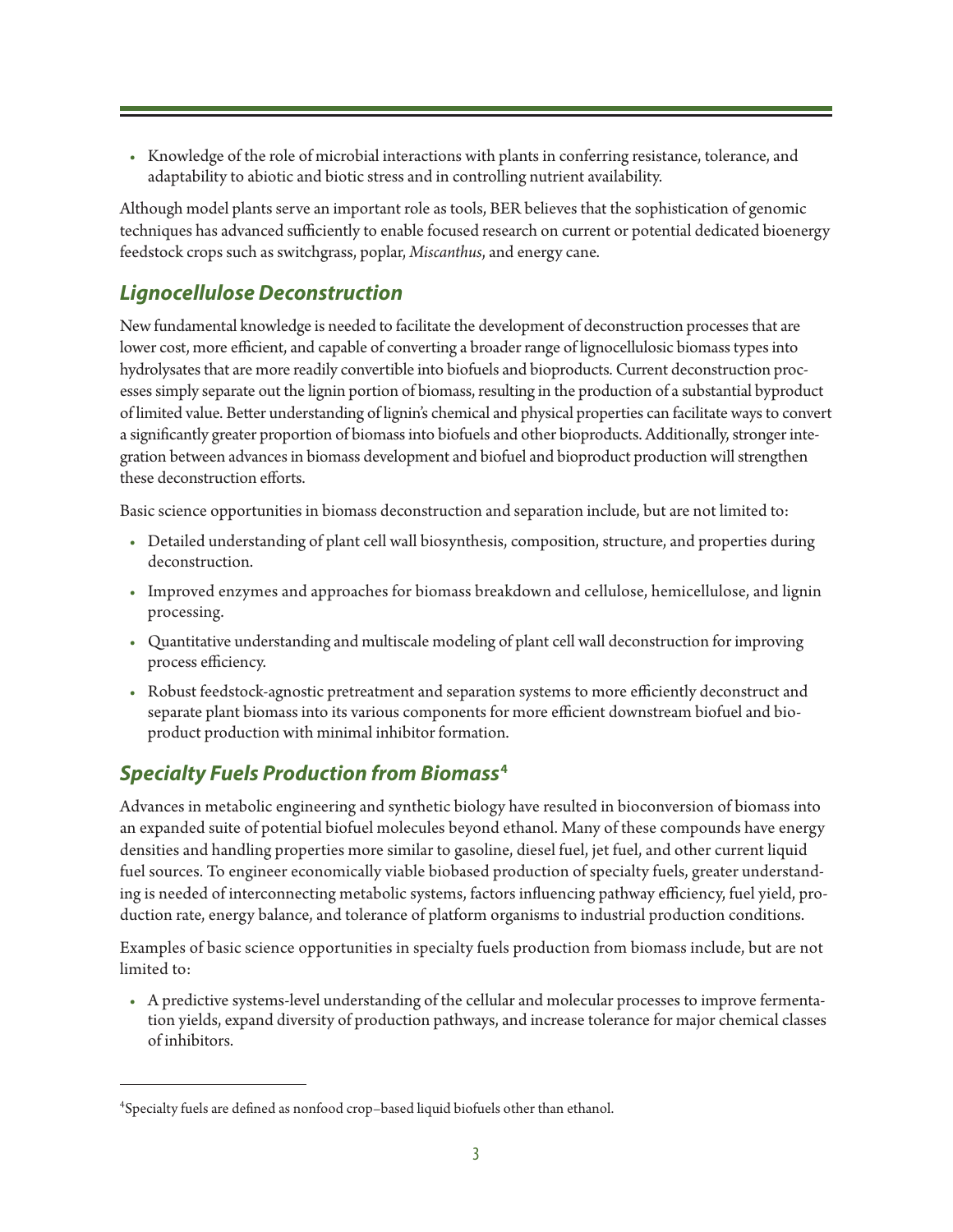• Knowledge of the role of microbial interactions with plants in conferring resistance, tolerance, and adaptability to abiotic and biotic stress and in controlling nutrient availability.

Although model plants serve an important role as tools, BER believes that the sophistication of genomic techniques has advanced sufficiently to enable focused research on current or potential dedicated bioenergy feedstock crops such as switchgrass, poplar, *Miscanthus*, and energy cane.

### *Lignocellulose Deconstruction*

New fundamental knowledge is needed to facilitate the development of deconstruction processes that are lower cost, more efficient, and capable of converting a broader range of lignocellulosic biomass types into hydrolysates that are more readily convertible into biofuels and bioproducts. Current deconstruction processes simply separate out the lignin portion of biomass, resulting in the production of a substantial byproduct of limited value. Better understanding of lignin's chemical and physical properties can facilitate ways to convert a significantly greater proportion of biomass into biofuels and other bioproducts. Additionally, stronger integration between advances in biomass development and biofuel and bioproduct production will strengthen these deconstruction efforts.

Basic science opportunities in biomass deconstruction and separation include, but are not limited to:

- Detailed understanding of plant cell wall biosynthesis, composition, structure, and properties during deconstruction.
- Improved enzymes and approaches for biomass breakdown and cellulose, hemicellulose, and lignin processing.
- Quantitative understanding and multiscale modeling of plant cell wall deconstruction for improving process efficiency.
- Robust feedstock-agnostic pretreatment and separation systems to more efficiently deconstruct and separate plant biomass into its various components for more efficient downstream biofuel and bioproduct production with minimal inhibitor formation.

### *Specialty Fuels Production from Biomass***<sup>4</sup>**

Advances in metabolic engineering and synthetic biology have resulted in bioconversion of biomass into an expanded suite of potential biofuel molecules beyond ethanol. Many of these compounds have energy densities and handling properties more similar to gasoline, diesel fuel, jet fuel, and other current liquid fuel sources. To engineer economically viable biobased production of specialty fuels, greater understanding is needed of interconnecting metabolic systems, factors influencing pathway efficiency, fuel yield, production rate, energy balance, and tolerance of platform organisms to industrial production conditions.

Examples of basic science opportunities in specialty fuels production from biomass include, but are not limited to:

• A predictive systems-level understanding of the cellular and molecular processes to improve fermentation yields, expand diversity of production pathways, and increase tolerance for major chemical classes of inhibitors.

<sup>4</sup> Specialty fuels are defined as nonfood crop–based liquid biofuels other than ethanol.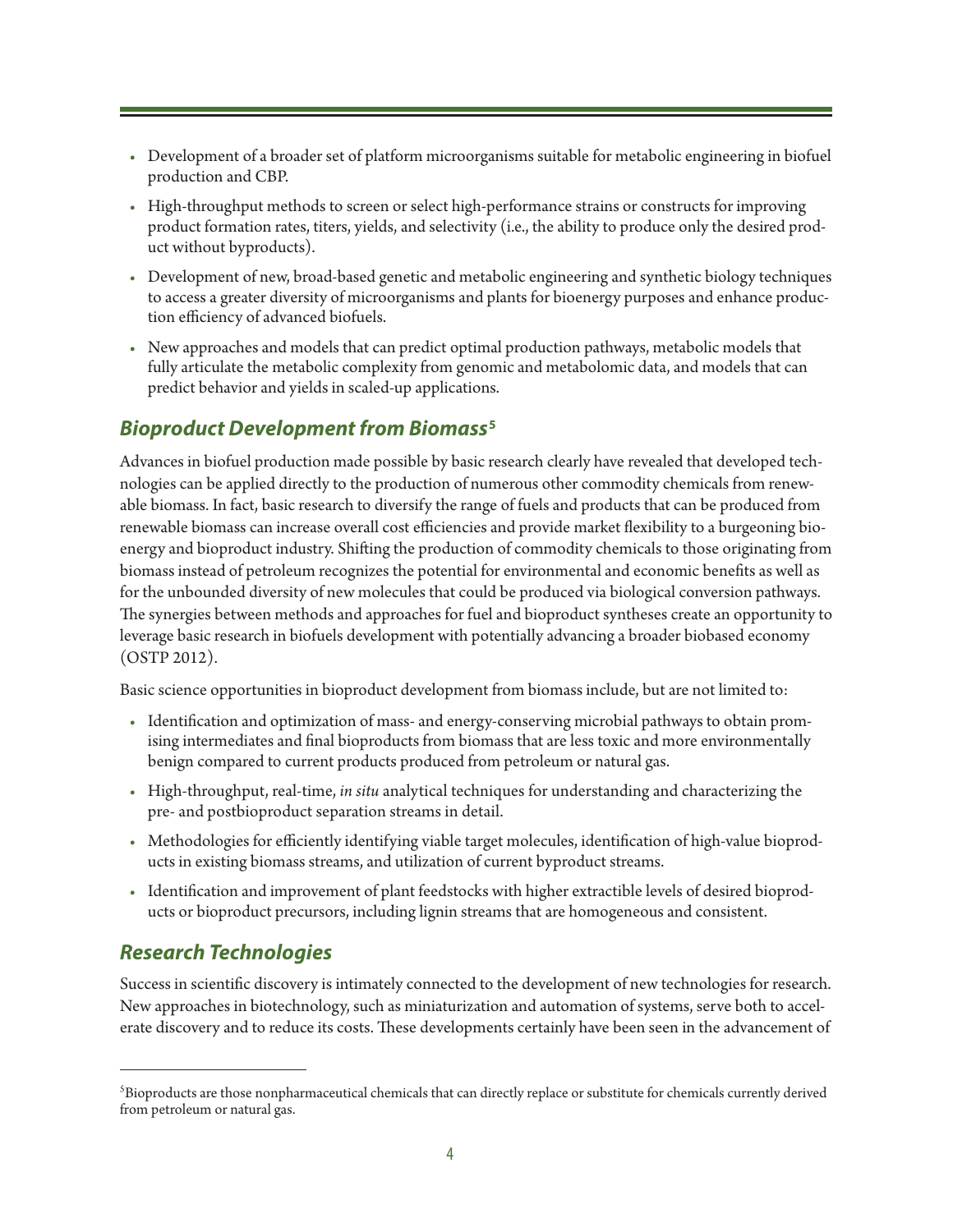- Development of a broader set of platform microorganisms suitable for metabolic engineering in biofuel production and CBP.
- High-throughput methods to screen or select high-performance strains or constructs for improving product formation rates, titers, yields, and selectivity (i.e., the ability to produce only the desired product without byproducts).
- Development of new, broad-based genetic and metabolic engineering and synthetic biology techniques to access a greater diversity of microorganisms and plants for bioenergy purposes and enhance production efficiency of advanced biofuels.
- New approaches and models that can predict optimal production pathways, metabolic models that fully articulate the metabolic complexity from genomic and metabolomic data, and models that can predict behavior and yields in scaled-up applications.

#### *Bioproduct Development from Biomass***<sup>5</sup>**

Advances in biofuel production made possible by basic research clearly have revealed that developed technologies can be applied directly to the production of numerous other commodity chemicals from renewable biomass. In fact, basic research to diversify the range of fuels and products that can be produced from renewable biomass can increase overall cost efficiencies and provide market flexibility to a burgeoning bioenergy and bioproduct industry. Shifting the production of commodity chemicals to those originating from biomass instead of petroleum recognizes the potential for environmental and economic benefits as well as for the unbounded diversity of new molecules that could be produced via biological conversion pathways. The synergies between methods and approaches for fuel and bioproduct syntheses create an opportunity to leverage basic research in biofuels development with potentially advancing a broader biobased economy (OSTP 2012).

Basic science opportunities in bioproduct development from biomass include, but are not limited to:

- Identification and optimization of mass- and energy-conserving microbial pathways to obtain promising intermediates and final bioproducts from biomass that are less toxic and more environmentally benign compared to current products produced from petroleum or natural gas.
- High-throughput, real-time, *in situ* analytical techniques for understanding and characterizing the pre- and postbioproduct separation streams in detail.
- Methodologies for efficiently identifying viable target molecules, identification of high-value bioproducts in existing biomass streams, and utilization of current byproduct streams.
- Identification and improvement of plant feedstocks with higher extractible levels of desired bioproducts or bioproduct precursors, including lignin streams that are homogeneous and consistent.

### *Research Technologies*

Success in scientific discovery is intimately connected to the development of new technologies for research. New approaches in biotechnology, such as miniaturization and automation of systems, serve both to accelerate discovery and to reduce its costs. These developments certainly have been seen in the advancement of

 $^5$ Bioproducts are those nonpharmaceutical chemicals that can directly replace or substitute for chemicals currently derived from petroleum or natural gas.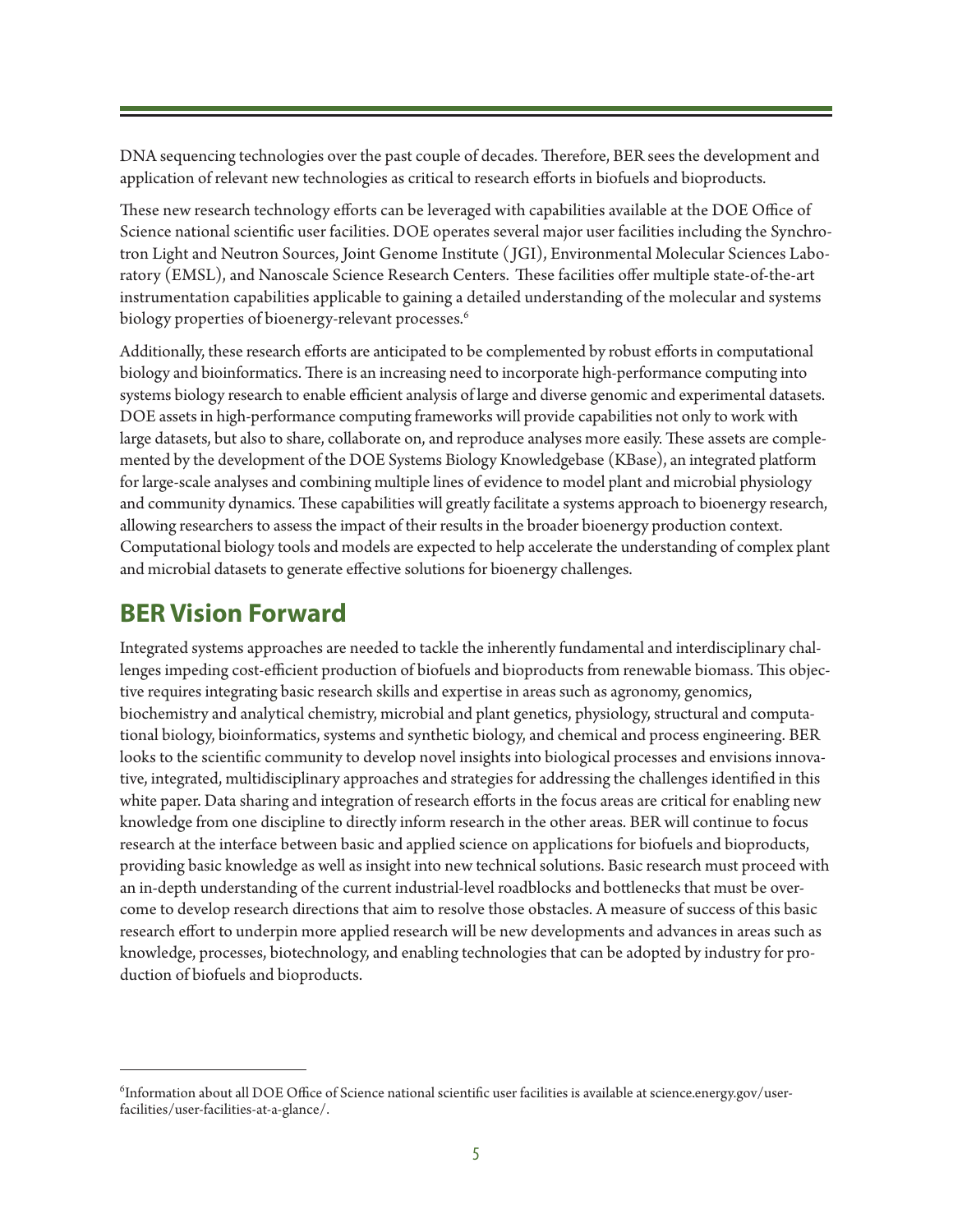DNA sequencing technologies over the past couple of decades. Therefore, BER sees the development and application of relevant new technologies as critical to research efforts in biofuels and bioproducts.

These new research technology efforts can be leveraged with capabilities available at the DOE Office of Science national scientific user facilities. DOE operates several major user facilities including the Synchrotron Light and Neutron Sources, Joint Genome Institute ( JGI), Environmental Molecular Sciences Laboratory (EMSL), and Nanoscale Science Research Centers. These facilities offer multiple state-of-the-art instrumentation capabilities applicable to gaining a detailed understanding of the molecular and systems biology properties of bioenergy-relevant processes.<sup>6</sup>

Additionally, these research efforts are anticipated to be complemented by robust efforts in computational biology and bioinformatics. There is an increasing need to incorporate high-performance computing into systems biology research to enable efficient analysis of large and diverse genomic and experimental datasets. DOE assets in high-performance computing frameworks will provide capabilities not only to work with large datasets, but also to share, collaborate on, and reproduce analyses more easily. These assets are complemented by the development of the DOE Systems Biology Knowledgebase (KBase), an integrated platform for large-scale analyses and combining multiple lines of evidence to model plant and microbial physiology and community dynamics. These capabilities will greatly facilitate a systems approach to bioenergy research, allowing researchers to assess the impact of their results in the broader bioenergy production context. Computational biology tools and models are expected to help accelerate the understanding of complex plant and microbial datasets to generate effective solutions for bioenergy challenges.

### **BER Vision Forward**

Integrated systems approaches are needed to tackle the inherently fundamental and interdisciplinary challenges impeding cost-efficient production of biofuels and bioproducts from renewable biomass. This objective requires integrating basic research skills and expertise in areas such as agronomy, genomics, biochemistry and analytical chemistry, microbial and plant genetics, physiology, structural and computational biology, bioinformatics, systems and synthetic biology, and chemical and process engineering. BER looks to the scientific community to develop novel insights into biological processes and envisions innovative, integrated, multidisciplinary approaches and strategies for addressing the challenges identified in this white paper. Data sharing and integration of research efforts in the focus areas are critical for enabling new knowledge from one discipline to directly inform research in the other areas. BER will continue to focus research at the interface between basic and applied science on applications for biofuels and bioproducts, providing basic knowledge as well as insight into new technical solutions. Basic research must proceed with an in-depth understanding of the current industrial-level roadblocks and bottlenecks that must be overcome to develop research directions that aim to resolve those obstacles. A measure of success of this basic research effort to underpin more applied research will be new developments and advances in areas such as knowledge, processes, biotechnology, and enabling technologies that can be adopted by industry for production of biofuels and bioproducts.

 $^6$ Information about all DOE Office of Science national scientific user facilities is available at [science.energy.gov/user](http://science.energy.gov/user-facilities/user-facilities-at-a-glance/)[facilities/user-facilities-at-a-glance/.](http://science.energy.gov/user-facilities/user-facilities-at-a-glance/)